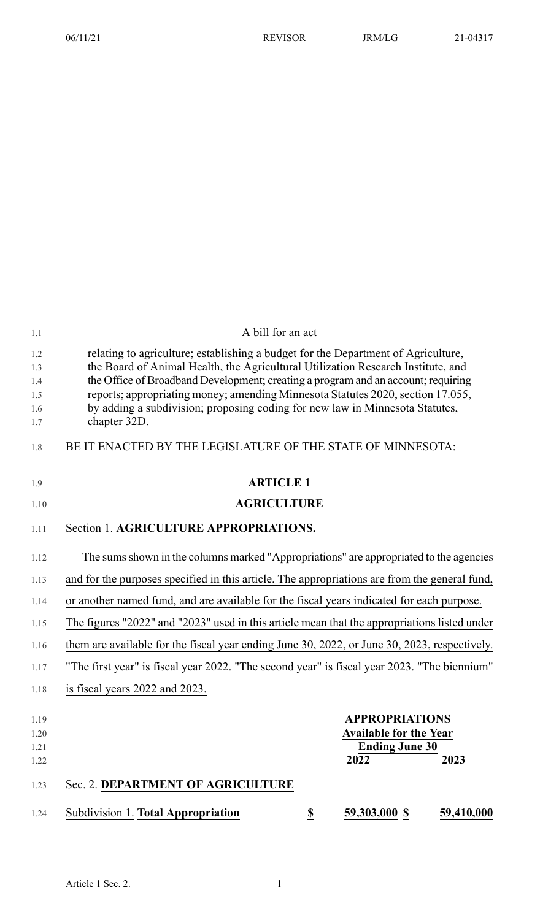| 1.1                                    | A bill for an act                                                                                                                                                                                                                                                                                                                                                                                                                             |
|----------------------------------------|-----------------------------------------------------------------------------------------------------------------------------------------------------------------------------------------------------------------------------------------------------------------------------------------------------------------------------------------------------------------------------------------------------------------------------------------------|
| 1.2<br>1.3<br>1.4<br>1.5<br>1.6<br>1.7 | relating to agriculture; establishing a budget for the Department of Agriculture,<br>the Board of Animal Health, the Agricultural Utilization Research Institute, and<br>the Office of Broadband Development; creating a program and an account; requiring<br>reports; appropriating money; amending Minnesota Statutes 2020, section 17.055,<br>by adding a subdivision; proposing coding for new law in Minnesota Statutes,<br>chapter 32D. |
| 1.8                                    | BE IT ENACTED BY THE LEGISLATURE OF THE STATE OF MINNESOTA:                                                                                                                                                                                                                                                                                                                                                                                   |
| 1.9                                    | <b>ARTICLE 1</b>                                                                                                                                                                                                                                                                                                                                                                                                                              |
| 1.10                                   | <b>AGRICULTURE</b>                                                                                                                                                                                                                                                                                                                                                                                                                            |
| 1.11                                   | Section 1. AGRICULTURE APPROPRIATIONS.                                                                                                                                                                                                                                                                                                                                                                                                        |
| 1.12                                   | The sums shown in the columns marked "Appropriations" are appropriated to the agencies                                                                                                                                                                                                                                                                                                                                                        |
| 1.13                                   | and for the purposes specified in this article. The appropriations are from the general fund,                                                                                                                                                                                                                                                                                                                                                 |
| 1.14                                   | or another named fund, and are available for the fiscal years indicated for each purpose.                                                                                                                                                                                                                                                                                                                                                     |
| 1.15                                   | The figures "2022" and "2023" used in this article mean that the appropriations listed under                                                                                                                                                                                                                                                                                                                                                  |
| 1.16                                   | them are available for the fiscal year ending June 30, 2022, or June 30, 2023, respectively.                                                                                                                                                                                                                                                                                                                                                  |
| 1.17                                   | "The first year" is fiscal year 2022. "The second year" is fiscal year 2023. "The biennium"                                                                                                                                                                                                                                                                                                                                                   |
| 1.18                                   | is fiscal years 2022 and 2023.                                                                                                                                                                                                                                                                                                                                                                                                                |
| 1.19                                   | <b>APPROPRIATIONS</b>                                                                                                                                                                                                                                                                                                                                                                                                                         |
| 1.20                                   | <b>Available for the Year</b>                                                                                                                                                                                                                                                                                                                                                                                                                 |
| 1.21                                   | <b>Ending June 30</b>                                                                                                                                                                                                                                                                                                                                                                                                                         |
| 1.22                                   | 2022<br>2023                                                                                                                                                                                                                                                                                                                                                                                                                                  |
| 1.23                                   | Sec. 2. DEPARTMENT OF AGRICULTURE                                                                                                                                                                                                                                                                                                                                                                                                             |
| 1.24                                   | Subdivision 1. Total Appropriation<br>59,303,000 \$<br>59,410,000<br>\$                                                                                                                                                                                                                                                                                                                                                                       |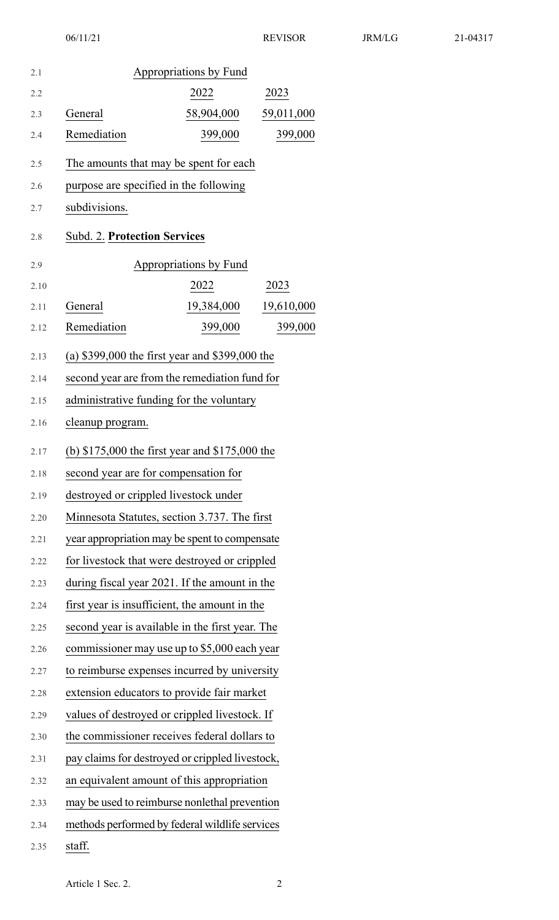| 2.1  |                                                  | Appropriations by Fund |            |
|------|--------------------------------------------------|------------------------|------------|
| 2.2  |                                                  | 2022                   | 2023       |
| 2.3  | General                                          | 58,904,000             | 59,011,000 |
| 2.4  | Remediation                                      | 399,000                | 399,000    |
| 2.5  | The amounts that may be spent for each           |                        |            |
| 2.6  | purpose are specified in the following           |                        |            |
| 2.7  | subdivisions.                                    |                        |            |
| 2.8  | <b>Subd. 2. Protection Services</b>              |                        |            |
| 2.9  |                                                  | Appropriations by Fund |            |
| 2.10 |                                                  | 2022                   | 2023       |
| 2.11 | General                                          | 19,384,000             | 19,610,000 |
| 2.12 | Remediation                                      | 399,000                | 399,000    |
| 2.13 | (a) $$399,000$ the first year and $$399,000$ the |                        |            |
| 2.14 | second year are from the remediation fund for    |                        |            |
| 2.15 | administrative funding for the voluntary         |                        |            |
| 2.16 | cleanup program.                                 |                        |            |
| 2.17 | (b) $$175,000$ the first year and $$175,000$ the |                        |            |
| 2.18 | second year are for compensation for             |                        |            |
| 2.19 | destroyed or crippled livestock under            |                        |            |
| 2.20 | Minnesota Statutes, section 3.737. The first     |                        |            |
| 2.21 | year appropriation may be spent to compensate    |                        |            |
| 2.22 | for livestock that were destroyed or crippled    |                        |            |
| 2.23 | during fiscal year 2021. If the amount in the    |                        |            |
| 2.24 | first year is insufficient, the amount in the    |                        |            |
| 2.25 | second year is available in the first year. The  |                        |            |
| 2.26 | commissioner may use up to \$5,000 each year     |                        |            |
| 2.27 | to reimburse expenses incurred by university     |                        |            |
| 2.28 | extension educators to provide fair market       |                        |            |
| 2.29 | values of destroyed or crippled livestock. If    |                        |            |
| 2.30 | the commissioner receives federal dollars to     |                        |            |
| 2.31 | pay claims for destroyed or crippled livestock,  |                        |            |
| 2.32 | an equivalent amount of this appropriation       |                        |            |
| 2.33 | may be used to reimburse nonlethal prevention    |                        |            |
| 2.34 | methods performed by federal wildlife services   |                        |            |
| 2.35 | staff.                                           |                        |            |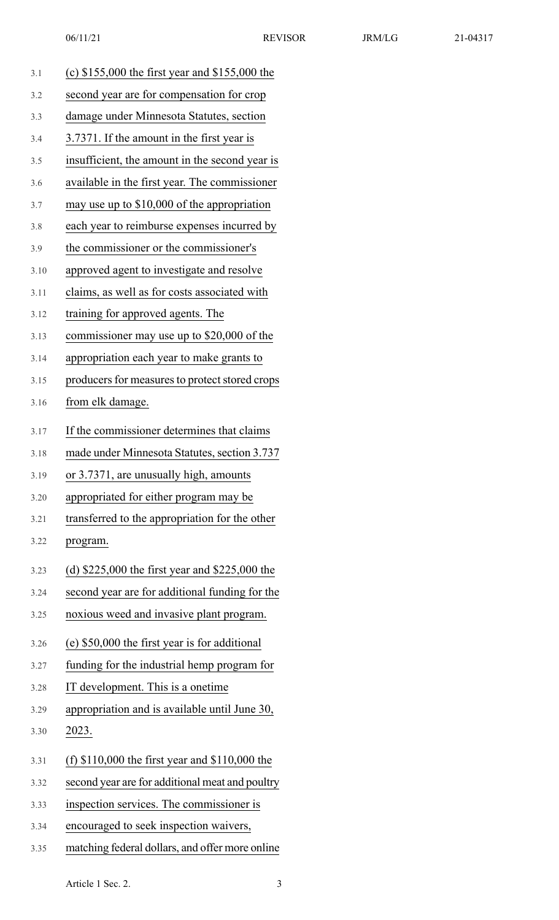| 3.1  | (c) $$155,000$ the first year and $$155,000$ the |
|------|--------------------------------------------------|
| 3.2  | second year are for compensation for crop        |
| 3.3  | damage under Minnesota Statutes, section         |
| 3.4  | 3.7371. If the amount in the first year is       |
| 3.5  | insufficient, the amount in the second year is   |
| 3.6  | available in the first year. The commissioner    |
| 3.7  | may use up to \$10,000 of the appropriation      |
| 3.8  | each year to reimburse expenses incurred by      |
| 3.9  | the commissioner or the commissioner's           |
| 3.10 | approved agent to investigate and resolve        |
| 3.11 | claims, as well as for costs associated with     |
| 3.12 | training for approved agents. The                |
| 3.13 | commissioner may use up to \$20,000 of the       |
| 3.14 | appropriation each year to make grants to        |
| 3.15 | producers for measures to protect stored crops   |
| 3.16 | from elk damage.                                 |
| 3.17 | If the commissioner determines that claims       |
| 3.18 | made under Minnesota Statutes, section 3.737     |
| 3.19 | or 3.7371, are unusually high, amounts           |
| 3.20 | appropriated for either program may be           |
| 3.21 | transferred to the appropriation for the other   |
| 3.22 | program.                                         |
| 3.23 | (d) $$225,000$ the first year and $$225,000$ the |
| 3.24 | second year are for additional funding for the   |
| 3.25 | noxious weed and invasive plant program.         |
| 3.26 | (e) \$50,000 the first year is for additional    |
| 3.27 | funding for the industrial hemp program for      |
| 3.28 | IT development. This is a onetime                |
| 3.29 | appropriation and is available until June 30,    |
| 3.30 | 2023.                                            |
| 3.31 | (f) $$110,000$ the first year and $$110,000$ the |
| 3.32 | second year are for additional meat and poultry  |
| 3.33 | inspection services. The commissioner is         |
| 3.34 | encouraged to seek inspection waivers,           |
|      |                                                  |

3.35 matching federal dollars, and offer more online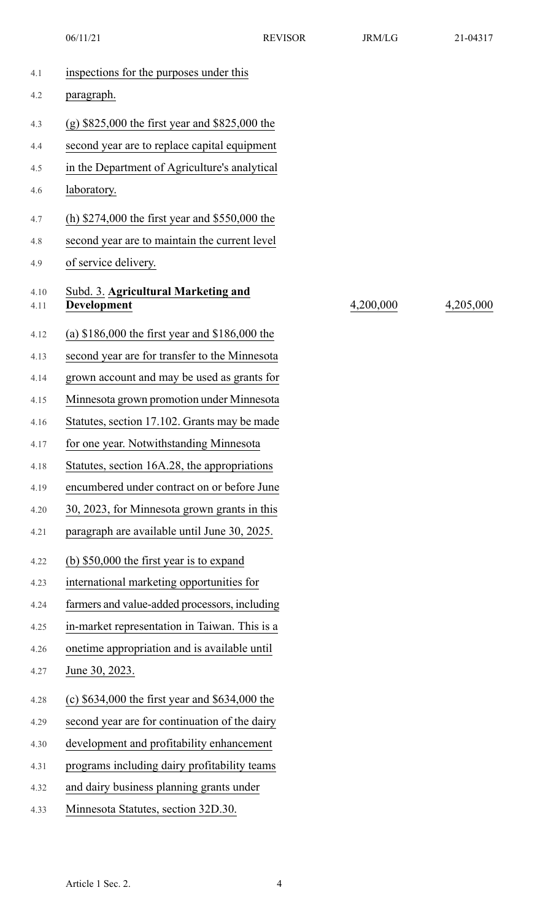06/11/21 REVISOR JRM/LG 21-04317

| 4.1          | inspections for the purposes under this                   |           |           |
|--------------|-----------------------------------------------------------|-----------|-----------|
| 4.2          | paragraph.                                                |           |           |
| 4.3          | (g) $$825,000$ the first year and $$825,000$ the          |           |           |
| 4.4          | second year are to replace capital equipment              |           |           |
| 4.5          | in the Department of Agriculture's analytical             |           |           |
| 4.6          | laboratory.                                               |           |           |
| 4.7          | (h) $$274,000$ the first year and $$550,000$ the          |           |           |
| 4.8          | second year are to maintain the current level             |           |           |
| 4.9          | of service delivery.                                      |           |           |
| 4.10<br>4.11 | Subd. 3. Agricultural Marketing and<br><b>Development</b> | 4,200,000 | 4,205,000 |
| 4.12         | (a) $$186,000$ the first year and $$186,000$ the          |           |           |
| 4.13         | second year are for transfer to the Minnesota             |           |           |
| 4.14         | grown account and may be used as grants for               |           |           |
| 4.15         | Minnesota grown promotion under Minnesota                 |           |           |
| 4.16         | Statutes, section 17.102. Grants may be made              |           |           |
| 4.17         | for one year. Notwithstanding Minnesota                   |           |           |
| 4.18         | Statutes, section 16A.28, the appropriations              |           |           |
| 4.19         | encumbered under contract on or before June               |           |           |
| 4.20         | 30, 2023, for Minnesota grown grants in this              |           |           |
| 4.21         | paragraph are available until June 30, 2025.              |           |           |
| 4.22         | (b) $$50,000$ the first year is to expand                 |           |           |
| 4.23         | international marketing opportunities for                 |           |           |
| 4.24         | farmers and value-added processors, including             |           |           |
| 4.25         | in-market representation in Taiwan. This is a             |           |           |
| 4.26         | onetime appropriation and is available until              |           |           |
| 4.27         | June 30, 2023.                                            |           |           |
| 4.28         | (c) $$634,000$ the first year and $$634,000$ the          |           |           |
| 4.29         | second year are for continuation of the dairy             |           |           |
| 4.30         | development and profitability enhancement                 |           |           |
| 4.31         | programs including dairy profitability teams              |           |           |
| 4.32         | and dairy business planning grants under                  |           |           |
| 4.33         | Minnesota Statutes, section 32D.30.                       |           |           |
|              |                                                           |           |           |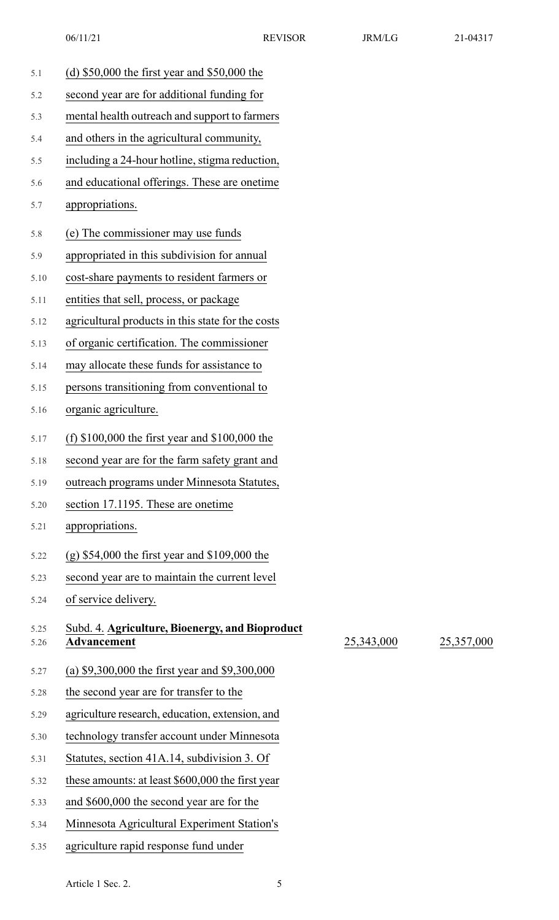| 5.1          | (d) $$50,000$ the first year and $$50,000$ the                        |            |            |
|--------------|-----------------------------------------------------------------------|------------|------------|
| 5.2          | second year are for additional funding for                            |            |            |
| 5.3          | mental health outreach and support to farmers                         |            |            |
| 5.4          | and others in the agricultural community,                             |            |            |
| 5.5          | including a 24-hour hotline, stigma reduction,                        |            |            |
| 5.6          | and educational offerings. These are onetime                          |            |            |
| 5.7          | appropriations.                                                       |            |            |
| 5.8          | (e) The commissioner may use funds                                    |            |            |
| 5.9          | appropriated in this subdivision for annual                           |            |            |
| 5.10         | cost-share payments to resident farmers or                            |            |            |
| 5.11         | entities that sell, process, or package                               |            |            |
| 5.12         | agricultural products in this state for the costs                     |            |            |
| 5.13         | of organic certification. The commissioner                            |            |            |
| 5.14         | may allocate these funds for assistance to                            |            |            |
| 5.15         | persons transitioning from conventional to                            |            |            |
| 5.16         | organic agriculture.                                                  |            |            |
| 5.17         | (f) $$100,000$ the first year and $$100,000$ the                      |            |            |
| 5.18         | second year are for the farm safety grant and                         |            |            |
| 5.19         | outreach programs under Minnesota Statutes,                           |            |            |
| 5.20         | section 17.1195. These are onetime                                    |            |            |
| 5.21         | appropriations.                                                       |            |            |
| 5.22         | $(g)$ \$54,000 the first year and \$109,000 the                       |            |            |
| 5.23         | second year are to maintain the current level                         |            |            |
| 5.24         | of service delivery.                                                  |            |            |
| 5.25<br>5.26 | Subd. 4. Agriculture, Bioenergy, and Bioproduct<br><b>Advancement</b> | 25,343,000 | 25,357,000 |
| 5.27         | (a) $$9,300,000$ the first year and $$9,300,000$                      |            |            |
| 5.28         | the second year are for transfer to the                               |            |            |
| 5.29         | agriculture research, education, extension, and                       |            |            |
| 5.30         | technology transfer account under Minnesota                           |            |            |
| 5.31         | Statutes, section 41A.14, subdivision 3. Of                           |            |            |
| 5.32         | these amounts: at least \$600,000 the first year                      |            |            |
| 5.33         | and \$600,000 the second year are for the                             |            |            |
| 5.34         | Minnesota Agricultural Experiment Station's                           |            |            |
| 5.35         | agriculture rapid response fund under                                 |            |            |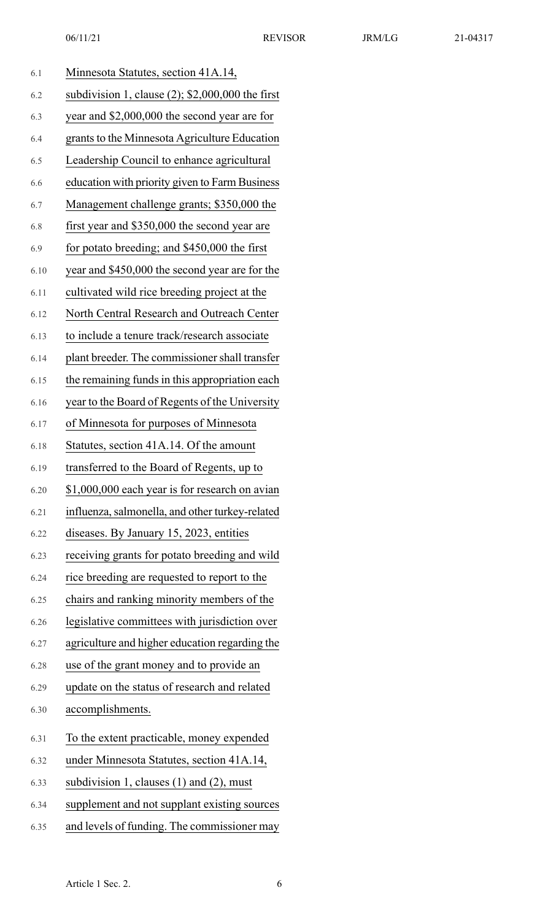|  | 21-04317 |  |  |
|--|----------|--|--|
|  |          |  |  |

| 6.1  | Minnesota Statutes, section 41A.14,                 |
|------|-----------------------------------------------------|
| 6.2  | subdivision 1, clause $(2)$ ; \$2,000,000 the first |
| 6.3  | year and \$2,000,000 the second year are for        |
| 6.4  | grants to the Minnesota Agriculture Education       |
| 6.5  | Leadership Council to enhance agricultural          |
| 6.6  | education with priority given to Farm Business      |
| 6.7  | Management challenge grants; \$350,000 the          |
| 6.8  | first year and \$350,000 the second year are        |
| 6.9  | for potato breeding; and \$450,000 the first        |
| 6.10 | year and \$450,000 the second year are for the      |
| 6.11 | cultivated wild rice breeding project at the        |
| 6.12 | North Central Research and Outreach Center          |
| 6.13 | to include a tenure track/research associate        |
| 6.14 | plant breeder. The commissioner shall transfer      |
| 6.15 | the remaining funds in this appropriation each      |
| 6.16 | year to the Board of Regents of the University      |
| 6.17 | of Minnesota for purposes of Minnesota              |
| 6.18 | Statutes, section 41A.14. Of the amount             |
| 6.19 | transferred to the Board of Regents, up to          |
| 6.20 | \$1,000,000 each year is for research on avian      |
| 6.21 | influenza, salmonella, and other turkey-related     |
| 6.22 | diseases. By January 15, 2023, entities             |
| 6.23 | receiving grants for potato breeding and wild       |
| 6.24 | rice breeding are requested to report to the        |
| 6.25 | chairs and ranking minority members of the          |
| 6.26 | legislative committees with jurisdiction over       |
| 6.27 | agriculture and higher education regarding the      |
| 6.28 | use of the grant money and to provide an            |
| 6.29 | update on the status of research and related        |
| 6.30 | accomplishments.                                    |
| 6.31 | To the extent practicable, money expended           |
| 6.32 | under Minnesota Statutes, section 41A.14,           |
| 6.33 | subdivision 1, clauses $(1)$ and $(2)$ , must       |
| 6.34 | supplement and not supplant existing sources        |
| 6.35 | and levels of funding. The commissioner may         |
|      |                                                     |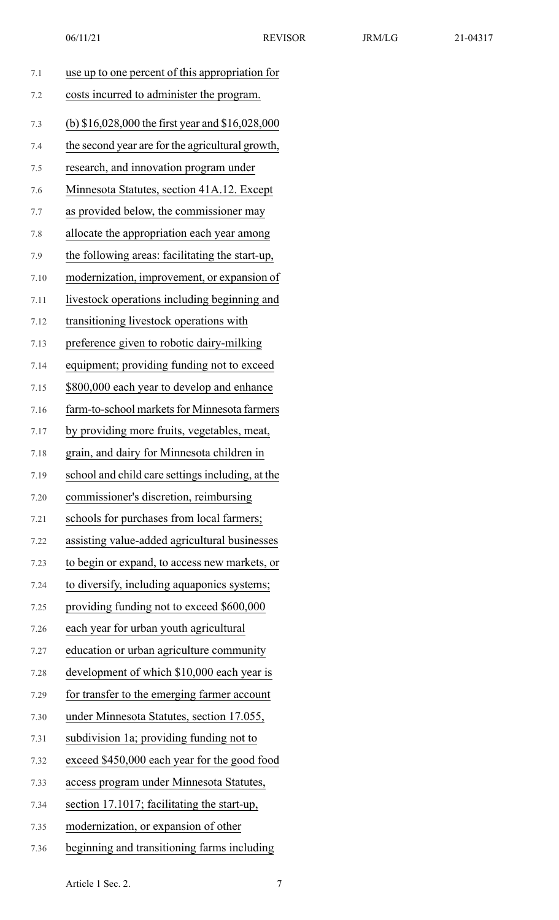| 06/11/21 | <b>REVISOR</b> | <b>JRM/LG</b> | 21-04317 |
|----------|----------------|---------------|----------|
|          |                |               |          |

| 7.1  | use up to one percent of this appropriation for  |
|------|--------------------------------------------------|
|      |                                                  |
| 7.2  | costs incurred to administer the program.        |
| 7.3  | (b) \$16,028,000 the first year and \$16,028,000 |
| 7.4  | the second year are for the agricultural growth, |
| 7.5  | research, and innovation program under           |
| 7.6  | Minnesota Statutes, section 41A.12. Except       |
| 7.7  | as provided below, the commissioner may          |
| 7.8  | allocate the appropriation each year among       |
| 7.9  | the following areas: facilitating the start-up,  |
| 7.10 | modernization, improvement, or expansion of      |
| 7.11 | livestock operations including beginning and     |
| 7.12 | transitioning livestock operations with          |
| 7.13 | preference given to robotic dairy-milking        |
| 7.14 | equipment; providing funding not to exceed       |
| 7.15 | \$800,000 each year to develop and enhance       |
| 7.16 | farm-to-school markets for Minnesota farmers     |
| 7.17 | by providing more fruits, vegetables, meat,      |
| 7.18 | grain, and dairy for Minnesota children in       |
| 7.19 | school and child care settings including, at the |
| 7.20 | commissioner's discretion, reimbursing           |
| 7.21 | schools for purchases from local farmers;        |
| 7.22 | assisting value-added agricultural businesses    |
| 7.23 | to begin or expand, to access new markets, or    |
| 7.24 | to diversify, including aquaponics systems;      |
| 7.25 | providing funding not to exceed \$600,000        |
| 7.26 | each year for urban youth agricultural           |
| 7.27 | education or urban agriculture community         |
| 7.28 | development of which \$10,000 each year is       |
| 7.29 | for transfer to the emerging farmer account      |
| 7.30 | under Minnesota Statutes, section 17.055,        |
| 7.31 | subdivision 1a; providing funding not to         |
| 7.32 | exceed \$450,000 each year for the good food     |
| 7.33 | access program under Minnesota Statutes,         |
| 7.34 | section 17.1017; facilitating the start-up,      |
| 7.35 | modernization, or expansion of other             |
| 7.36 | beginning and transitioning farms including      |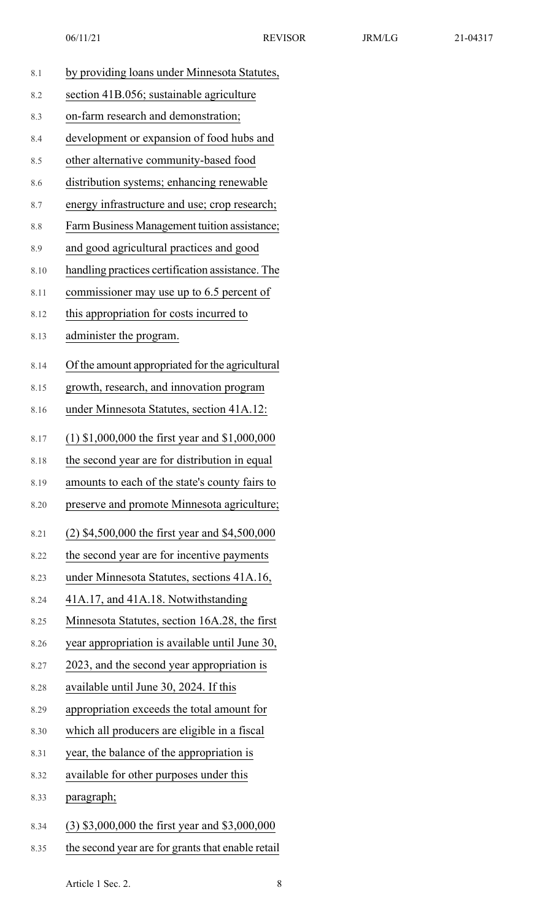| ١4 |  |
|----|--|
|    |  |

| 8.1  | by providing loans under Minnesota Statutes,      |
|------|---------------------------------------------------|
| 8.2  | section 41B.056; sustainable agriculture          |
| 8.3  | on-farm research and demonstration;               |
| 8.4  | development or expansion of food hubs and         |
| 8.5  | other alternative community-based food            |
| 8.6  | distribution systems; enhancing renewable         |
| 8.7  | energy infrastructure and use; crop research;     |
| 8.8  | Farm Business Management tuition assistance;      |
| 8.9  | and good agricultural practices and good          |
| 8.10 | handling practices certification assistance. The  |
| 8.11 | commissioner may use up to 6.5 percent of         |
| 8.12 | this appropriation for costs incurred to          |
| 8.13 | administer the program.                           |
| 8.14 | Of the amount appropriated for the agricultural   |
| 8.15 | growth, research, and innovation program          |
| 8.16 | under Minnesota Statutes, section 41A.12:         |
| 8.17 | $(1)$ \$1,000,000 the first year and \$1,000,000  |
| 8.18 | the second year are for distribution in equal     |
| 8.19 | amounts to each of the state's county fairs to    |
| 8.20 | preserve and promote Minnesota agriculture;       |
| 8.21 | $(2)$ \$4,500,000 the first year and \$4,500,000  |
| 8.22 | the second year are for incentive payments        |
| 8.23 | under Minnesota Statutes, sections 41A.16,        |
| 8.24 | 41A.17, and 41A.18. Notwithstanding               |
| 8.25 | Minnesota Statutes, section 16A.28, the first     |
| 8.26 | year appropriation is available until June 30,    |
| 8.27 | 2023, and the second year appropriation is        |
| 8.28 | available until June 30, 2024. If this            |
| 8.29 | appropriation exceeds the total amount for        |
| 8.30 | which all producers are eligible in a fiscal      |
| 8.31 | year, the balance of the appropriation is         |
| 8.32 | available for other purposes under this           |
| 8.33 | paragraph;                                        |
| 8.34 | (3) \$3,000,000 the first year and \$3,000,000    |
| 8.35 | the second year are for grants that enable retail |

Article 1 Sec. 2. 8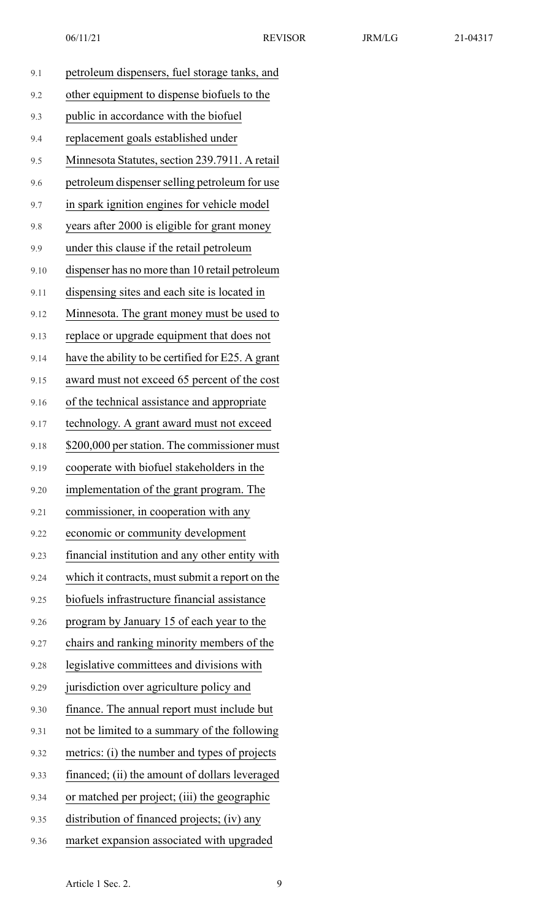|  | 3<br>$-04^{\circ}$ |  |
|--|--------------------|--|
|  |                    |  |

| 9.1  | petroleum dispensers, fuel storage tanks, and     |
|------|---------------------------------------------------|
| 9.2  | other equipment to dispense biofuels to the       |
| 9.3  | public in accordance with the biofuel             |
| 9.4  | replacement goals established under               |
| 9.5  | Minnesota Statutes, section 239.7911. A retail    |
| 9.6  | petroleum dispenser selling petroleum for use     |
| 9.7  | in spark ignition engines for vehicle model       |
| 9.8  | years after 2000 is eligible for grant money      |
| 9.9  | under this clause if the retail petroleum         |
| 9.10 | dispenser has no more than 10 retail petroleum    |
| 9.11 | dispensing sites and each site is located in      |
| 9.12 | Minnesota. The grant money must be used to        |
| 9.13 | replace or upgrade equipment that does not        |
| 9.14 | have the ability to be certified for E25. A grant |
| 9.15 | award must not exceed 65 percent of the cost      |
| 9.16 | of the technical assistance and appropriate       |
| 9.17 | technology. A grant award must not exceed         |
| 9.18 | \$200,000 per station. The commissioner must      |
| 9.19 | cooperate with biofuel stakeholders in the        |
| 9.20 | implementation of the grant program. The          |
| 9.21 | commissioner, in cooperation with any             |
| 9.22 | economic or community development                 |
| 9.23 | financial institution and any other entity with   |
| 9.24 | which it contracts, must submit a report on the   |
| 9.25 | biofuels infrastructure financial assistance      |
| 9.26 | program by January 15 of each year to the         |
| 9.27 | chairs and ranking minority members of the        |
| 9.28 | legislative committees and divisions with         |
| 9.29 | jurisdiction over agriculture policy and          |
| 9.30 | finance. The annual report must include but       |
| 9.31 | not be limited to a summary of the following      |
| 9.32 | metrics: (i) the number and types of projects     |
| 9.33 | financed; (ii) the amount of dollars leveraged    |
| 9.34 | or matched per project; (iii) the geographic      |
| 9.35 | distribution of financed projects; (iv) any       |
| 9.36 | market expansion associated with upgraded         |
|      |                                                   |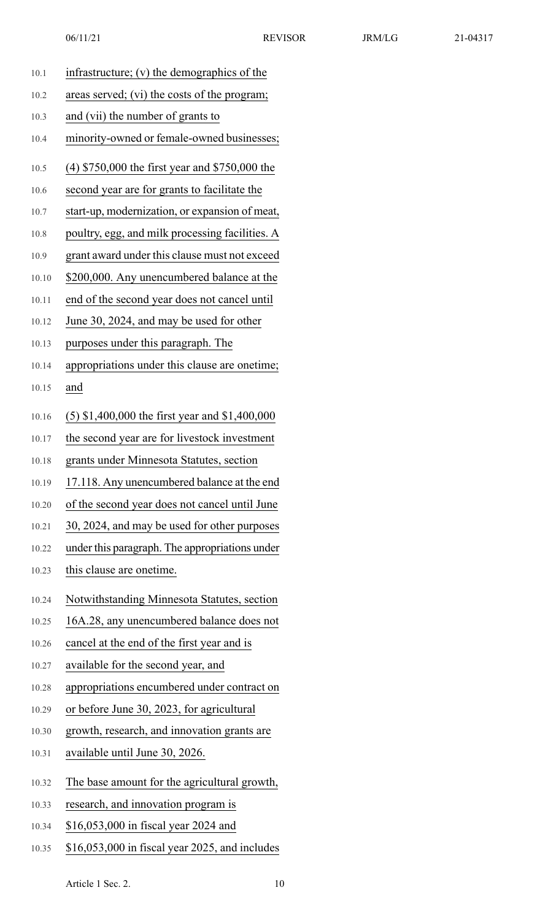|       | 06/11/21                                         | <b>REVISOR</b> | JRM/LG | 21-04317 |
|-------|--------------------------------------------------|----------------|--------|----------|
| 10.1  | infrastructure; $(v)$ the demographics of the    |                |        |          |
| 10.2  | areas served; (vi) the costs of the program;     |                |        |          |
| 10.3  | and (vii) the number of grants to                |                |        |          |
| 10.4  | minority-owned or female-owned businesses;       |                |        |          |
| 10.5  | $(4)$ \$750,000 the first year and \$750,000 the |                |        |          |
| 10.6  | second year are for grants to facilitate the     |                |        |          |
| 10.7  | start-up, modernization, or expansion of meat,   |                |        |          |
| 10.8  | poultry, egg, and milk processing facilities. A  |                |        |          |
| 10.9  | grant award under this clause must not exceed    |                |        |          |
| 10.10 | \$200,000. Any unencumbered balance at the       |                |        |          |
| 10.11 | end of the second year does not cancel until     |                |        |          |
| 10.12 | June 30, 2024, and may be used for other         |                |        |          |
| 10.13 | purposes under this paragraph. The               |                |        |          |
| 10.14 | appropriations under this clause are onetime;    |                |        |          |
| 10.15 | and                                              |                |        |          |
| 10.16 | $(5)$ \$1,400,000 the first year and \$1,400,000 |                |        |          |
| 10.17 | the second year are for livestock investment     |                |        |          |
| 10.18 | grants under Minnesota Statutes, section         |                |        |          |
| 10.19 | 17.118. Any unencumbered balance at the end      |                |        |          |
| 10.20 | of the second year does not cancel until June    |                |        |          |
| 10.21 | 30, 2024, and may be used for other purposes     |                |        |          |
| 10.22 | under this paragraph. The appropriations under   |                |        |          |
| 10.23 | this clause are onetime.                         |                |        |          |
| 10.24 | Notwithstanding Minnesota Statutes, section      |                |        |          |
| 10.25 | 16A.28, any unencumbered balance does not        |                |        |          |
| 10.26 | cancel at the end of the first year and is       |                |        |          |
| 10.27 | available for the second year, and               |                |        |          |
| 10.28 | appropriations encumbered under contract on      |                |        |          |
| 10.29 | or before June 30, 2023, for agricultural        |                |        |          |
| 10.30 | growth, research, and innovation grants are      |                |        |          |
| 10.31 | available until June 30, 2026.                   |                |        |          |

- 10.32 The base amount for the agricultural growth,
- 10.33 research, and innovation program is
- 10.34 \$16,053,000 in fiscal year 2024 and
- 10.35 \$16,053,000 in fiscal year 2025, and includes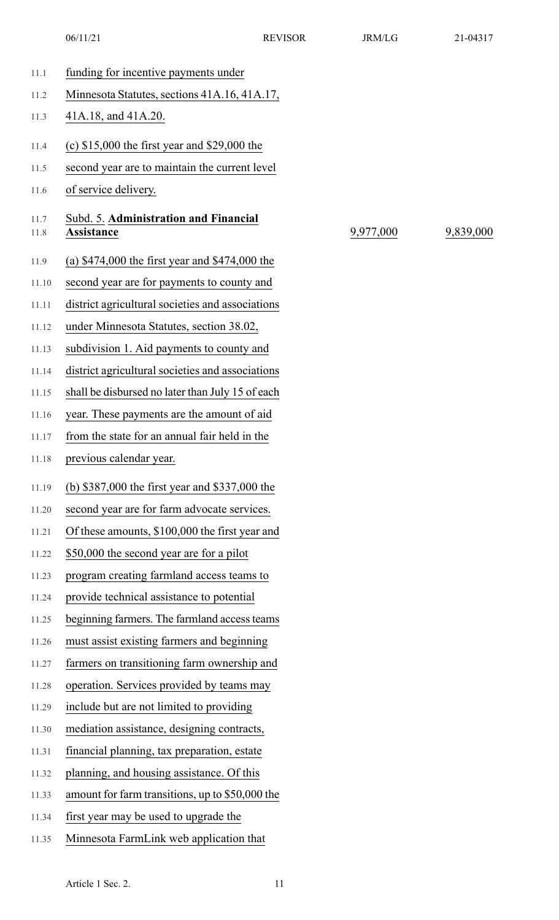06/11/21 REVISOR REVISOR 21-04317

| 11.1         | funding for incentive payments under                       |           |           |
|--------------|------------------------------------------------------------|-----------|-----------|
| 11.2         | Minnesota Statutes, sections 41A.16, 41A.17,               |           |           |
| 11.3         | 41A.18, and 41A.20.                                        |           |           |
| 11.4         | (c) $$15,000$ the first year and $$29,000$ the             |           |           |
| 11.5         | second year are to maintain the current level              |           |           |
| 11.6         | of service delivery.                                       |           |           |
| 11.7<br>11.8 | Subd. 5. Administration and Financial<br><b>Assistance</b> | 9,977,000 | 9,839,000 |
| 11.9         | (a) $$474,000$ the first year and $$474,000$ the           |           |           |
| 11.10        | second year are for payments to county and                 |           |           |
| 11.11        | district agricultural societies and associations           |           |           |
| 11.12        | under Minnesota Statutes, section 38.02,                   |           |           |
| 11.13        | subdivision 1. Aid payments to county and                  |           |           |
| 11.14        | district agricultural societies and associations           |           |           |
| 11.15        | shall be disbursed no later than July 15 of each           |           |           |
| 11.16        | year. These payments are the amount of aid                 |           |           |
| 11.17        | from the state for an annual fair held in the              |           |           |
| 11.18        | previous calendar year.                                    |           |           |
| 11.19        | (b) \$387,000 the first year and \$337,000 the             |           |           |
| 11.20        | second year are for farm advocate services.                |           |           |
| 11.21        | Of these amounts, \$100,000 the first year and             |           |           |
| 11.22        | \$50,000 the second year are for a pilot                   |           |           |
| 11.23        | program creating farmland access teams to                  |           |           |
| 11.24        | provide technical assistance to potential                  |           |           |
| 11.25        | beginning farmers. The farmland access teams               |           |           |
| 11.26        | must assist existing farmers and beginning                 |           |           |
| 11.27        | farmers on transitioning farm ownership and                |           |           |
| 11.28        | operation. Services provided by teams may                  |           |           |
| 11.29        | include but are not limited to providing                   |           |           |
| 11.30        | mediation assistance, designing contracts,                 |           |           |
| 11.31        | financial planning, tax preparation, estate                |           |           |
| 11.32        | planning, and housing assistance. Of this                  |           |           |
| 11.33        | amount for farm transitions, up to \$50,000 the            |           |           |
| 11.34        | first year may be used to upgrade the                      |           |           |
| 11.35        | Minnesota FarmLink web application that                    |           |           |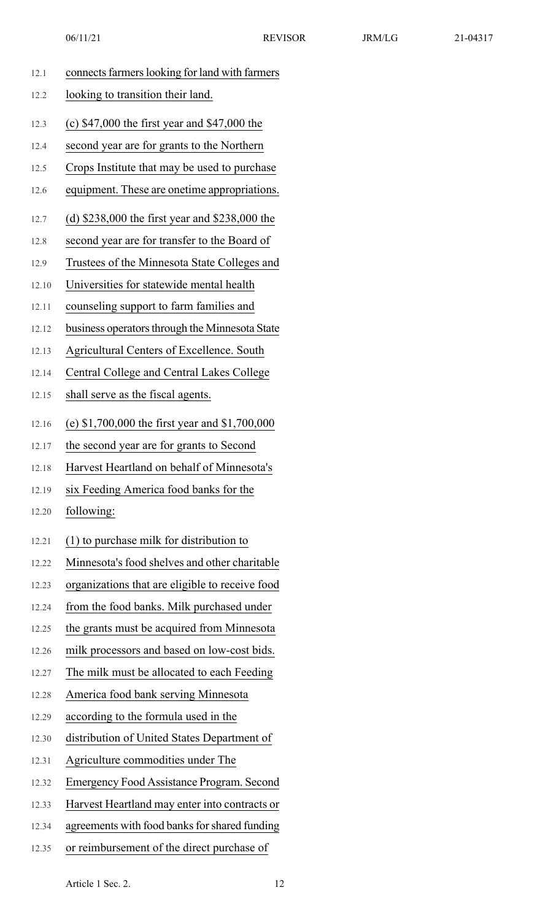| 12.1  | connects farmers looking for land with farmers   |
|-------|--------------------------------------------------|
| 12.2  | looking to transition their land.                |
| 12.3  | (c) $$47,000$ the first year and $$47,000$ the   |
| 12.4  | second year are for grants to the Northern       |
| 12.5  | Crops Institute that may be used to purchase     |
| 12.6  | equipment. These are onetime appropriations.     |
| 12.7  | (d) $$238,000$ the first year and $$238,000$ the |
| 12.8  | second year are for transfer to the Board of     |
| 12.9  | Trustees of the Minnesota State Colleges and     |
| 12.10 | Universities for statewide mental health         |
| 12.11 | counseling support to farm families and          |
| 12.12 | business operators through the Minnesota State   |
| 12.13 | Agricultural Centers of Excellence. South        |
| 12.14 | Central College and Central Lakes College        |
| 12.15 | shall serve as the fiscal agents.                |
| 12.16 | (e) $$1,700,000$ the first year and $$1,700,000$ |
| 12.17 | the second year are for grants to Second         |
| 12.18 | Harvest Heartland on behalf of Minnesota's       |
| 12.19 | six Feeding America food banks for the           |
| 12.20 | following:                                       |
| 12.21 | (1) to purchase milk for distribution to         |
| 12.22 | Minnesota's food shelves and other charitable    |
| 12.23 | organizations that are eligible to receive food  |
| 12.24 | from the food banks. Milk purchased under        |
| 12.25 | the grants must be acquired from Minnesota       |
| 12.26 | milk processors and based on low-cost bids.      |
| 12.27 | The milk must be allocated to each Feeding       |
| 12.28 | America food bank serving Minnesota              |
| 12.29 | according to the formula used in the             |
| 12.30 | distribution of United States Department of      |
| 12.31 | Agriculture commodities under The                |
| 12.32 | <b>Emergency Food Assistance Program. Second</b> |
| 12.33 | Harvest Heartland may enter into contracts or    |
| 12.34 | agreements with food banks for shared funding    |

12.35 or reimbursement of the direct purchase of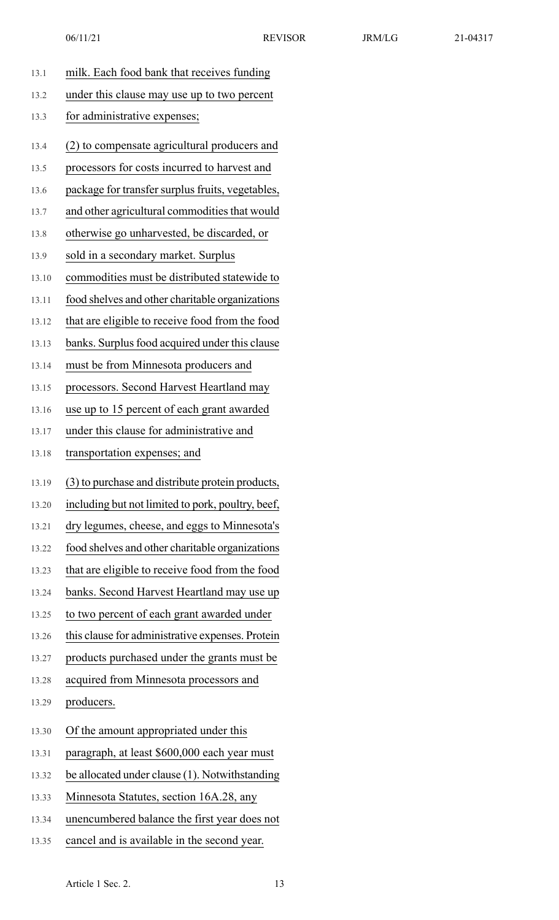| 13.1  | milk. Each food bank that receives funding        |
|-------|---------------------------------------------------|
| 13.2  | under this clause may use up to two percent       |
| 13.3  | for administrative expenses;                      |
| 13.4  | (2) to compensate agricultural producers and      |
| 13.5  | processors for costs incurred to harvest and      |
| 13.6  | package for transfer surplus fruits, vegetables,  |
| 13.7  | and other agricultural commodities that would     |
| 13.8  | otherwise go unharvested, be discarded, or        |
| 13.9  | sold in a secondary market. Surplus               |
| 13.10 | commodities must be distributed statewide to      |
| 13.11 | food shelves and other charitable organizations   |
| 13.12 | that are eligible to receive food from the food   |
| 13.13 | banks. Surplus food acquired under this clause    |
| 13.14 | must be from Minnesota producers and              |
| 13.15 | processors. Second Harvest Heartland may          |
| 13.16 | use up to 15 percent of each grant awarded        |
| 13.17 | under this clause for administrative and          |
| 13.18 | transportation expenses; and                      |
| 13.19 | (3) to purchase and distribute protein products,  |
| 13.20 | including but not limited to pork, poultry, beef, |
| 13.21 | dry legumes, cheese, and eggs to Minnesota's      |
| 13.22 | food shelves and other charitable organizations   |
| 13.23 | that are eligible to receive food from the food   |
| 13.24 | banks. Second Harvest Heartland may use up        |
| 13.25 | to two percent of each grant awarded under        |
| 13.26 | this clause for administrative expenses. Protein  |
| 13.27 | products purchased under the grants must be       |
| 13.28 | acquired from Minnesota processors and            |
| 13.29 | producers.                                        |
| 13.30 | Of the amount appropriated under this             |
| 13.31 | paragraph, at least \$600,000 each year must      |
| 13.32 | be allocated under clause (1). Notwithstanding    |
| 13.33 | Minnesota Statutes, section 16A.28, any           |
| 13.34 | unencumbered balance the first year does not      |
| 13.35 | cancel and is available in the second year.       |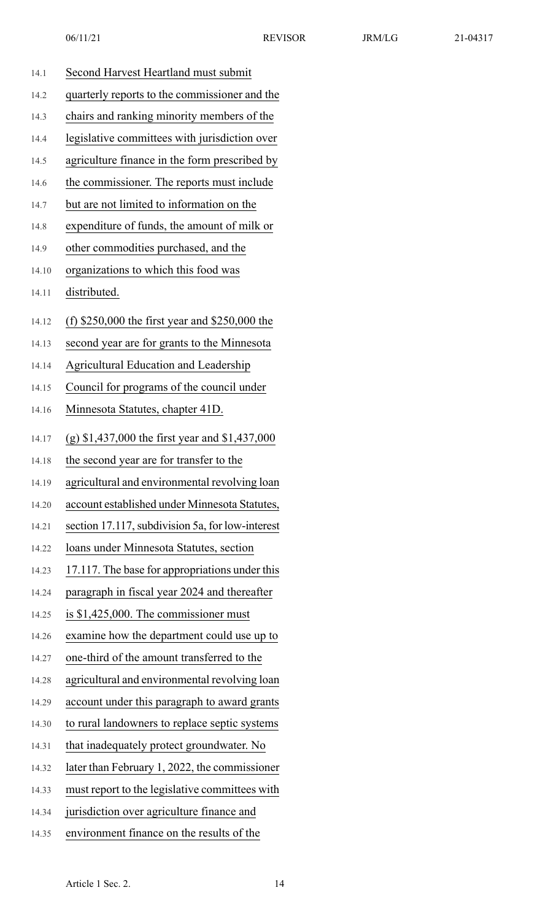| 14.1  | Second Harvest Heartland must submit             |
|-------|--------------------------------------------------|
| 14.2  | quarterly reports to the commissioner and the    |
| 14.3  | chairs and ranking minority members of the       |
| 14.4  | legislative committees with jurisdiction over    |
| 14.5  | agriculture finance in the form prescribed by    |
| 14.6  | the commissioner. The reports must include       |
| 14.7  | but are not limited to information on the        |
| 14.8  | expenditure of funds, the amount of milk or      |
| 14.9  | other commodities purchased, and the             |
| 14.10 | organizations to which this food was             |
| 14.11 | distributed.                                     |
| 14.12 | (f) $$250,000$ the first year and $$250,000$ the |
| 14.13 | second year are for grants to the Minnesota      |
| 14.14 | <b>Agricultural Education and Leadership</b>     |
| 14.15 | Council for programs of the council under        |
| 14.16 | Minnesota Statutes, chapter 41D.                 |
| 14.17 | (g) $$1,437,000$ the first year and $$1,437,000$ |
| 14.18 | the second year are for transfer to the          |
| 14.19 | agricultural and environmental revolving loan    |
| 14.20 | account established under Minnesota Statutes,    |
| 14.21 | section 17.117, subdivision 5a, for low-interest |
| 14.22 | loans under Minnesota Statutes, section          |
| 14.23 | 17.117. The base for appropriations under this   |
| 14.24 | paragraph in fiscal year 2024 and thereafter     |
| 14.25 | is $$1,425,000$ . The commissioner must          |
| 14.26 | examine how the department could use up to       |
| 14.27 | one-third of the amount transferred to the       |
| 14.28 | agricultural and environmental revolving loan    |
| 14.29 | account under this paragraph to award grants     |
| 14.30 | to rural landowners to replace septic systems    |
| 14.31 | that inadequately protect groundwater. No        |
| 14.32 | later than February 1, 2022, the commissioner    |
| 14.33 | must report to the legislative committees with   |
| 14.34 | jurisdiction over agriculture finance and        |
| 14.35 | environment finance on the results of the        |
|       |                                                  |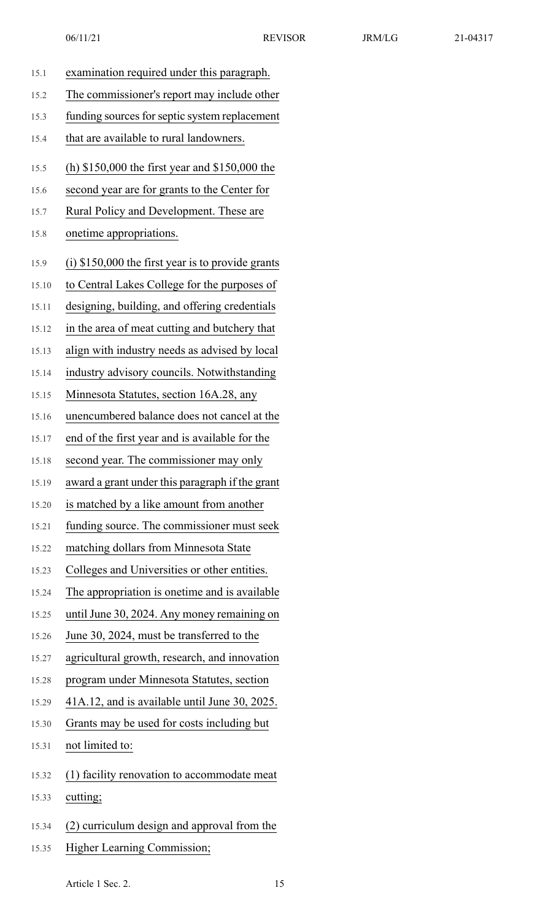| 15.1  | examination required under this paragraph.          |
|-------|-----------------------------------------------------|
| 15.2  | The commissioner's report may include other         |
| 15.3  | funding sources for septic system replacement       |
| 15.4  | that are available to rural landowners.             |
| 15.5  | (h) $$150,000$ the first year and $$150,000$ the    |
| 15.6  | second year are for grants to the Center for        |
| 15.7  | Rural Policy and Development. These are             |
| 15.8  | onetime appropriations.                             |
| 15.9  | $(i)$ \$150,000 the first year is to provide grants |
| 15.10 | to Central Lakes College for the purposes of        |
| 15.11 | designing, building, and offering credentials       |
| 15.12 | in the area of meat cutting and butchery that       |
| 15.13 | align with industry needs as advised by local       |
| 15.14 | industry advisory councils. Notwithstanding         |
| 15.15 | Minnesota Statutes, section 16A.28, any             |
| 15.16 | unencumbered balance does not cancel at the         |
| 15.17 | end of the first year and is available for the      |
| 15.18 | second year. The commissioner may only              |
| 15.19 | award a grant under this paragraph if the grant     |
| 15.20 | is matched by a like amount from another            |
| 15.21 | funding source. The commissioner must seek          |
| 15.22 | matching dollars from Minnesota State               |
| 15.23 | Colleges and Universities or other entities.        |
| 15.24 | The appropriation is onetime and is available       |
| 15.25 | until June 30, 2024. Any money remaining on         |
| 15.26 | June 30, 2024, must be transferred to the           |
| 15.27 | agricultural growth, research, and innovation       |
| 15.28 | program under Minnesota Statutes, section           |
| 15.29 | 41A.12, and is available until June 30, 2025.       |
| 15.30 | Grants may be used for costs including but          |
| 15.31 | not limited to:                                     |
| 15.32 | (1) facility renovation to accommodate meat         |
| 15.33 | cutting;                                            |
| 15.34 | (2) curriculum design and approval from the         |
| 15.35 | <b>Higher Learning Commission;</b>                  |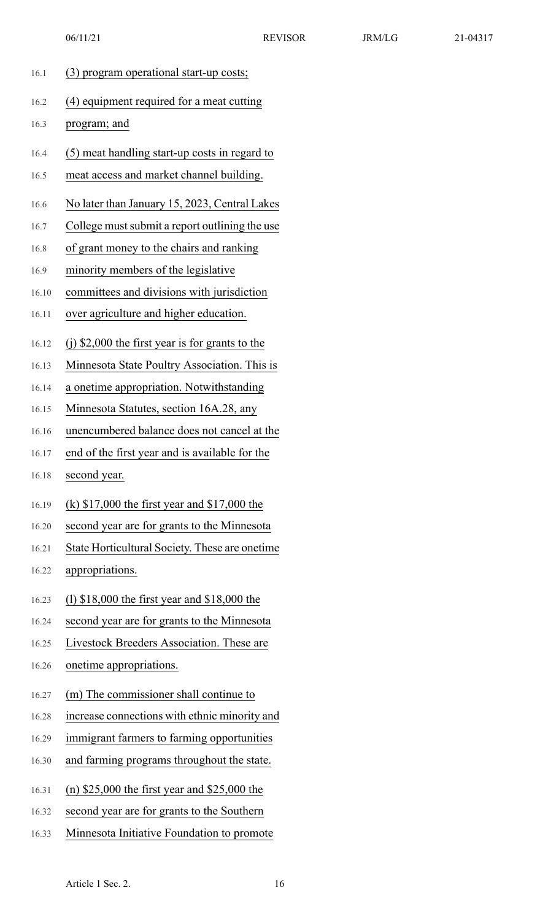| 16.1  | (3) program operational start-up costs;           |
|-------|---------------------------------------------------|
| 16.2  | (4) equipment required for a meat cutting         |
| 16.3  | program; and                                      |
| 16.4  | (5) meat handling start-up costs in regard to     |
| 16.5  | meat access and market channel building.          |
| 16.6  | No later than January 15, 2023, Central Lakes     |
| 16.7  | College must submit a report outlining the use    |
| 16.8  | of grant money to the chairs and ranking          |
| 16.9  | minority members of the legislative               |
| 16.10 | committees and divisions with jurisdiction        |
| 16.11 | over agriculture and higher education.            |
| 16.12 | $(i)$ \$2,000 the first year is for grants to the |
| 16.13 | Minnesota State Poultry Association. This is      |
| 16.14 | a onetime appropriation. Notwithstanding          |
| 16.15 | Minnesota Statutes, section 16A.28, any           |
| 16.16 | unencumbered balance does not cancel at the       |
| 16.17 | end of the first year and is available for the    |
| 16.18 | second year.                                      |
| 16.19 | (k) $$17,000$ the first year and $$17,000$ the    |
| 16.20 | second year are for grants to the Minnesota       |
| 16.21 | State Horticultural Society. These are onetime    |
| 16.22 | appropriations.                                   |
| 16.23 | (1) $$18,000$ the first year and $$18,000$ the    |
| 16.24 | second year are for grants to the Minnesota       |
| 16.25 | Livestock Breeders Association. These are         |
| 16.26 | onetime appropriations.                           |
| 16.27 | (m) The commissioner shall continue to            |
| 16.28 | increase connections with ethnic minority and     |
| 16.29 | immigrant farmers to farming opportunities        |
| 16.30 | and farming programs throughout the state.        |
| 16.31 | (n) $$25,000$ the first year and $$25,000$ the    |
| 16.32 | second year are for grants to the Southern        |
| 16.33 | Minnesota Initiative Foundation to promote        |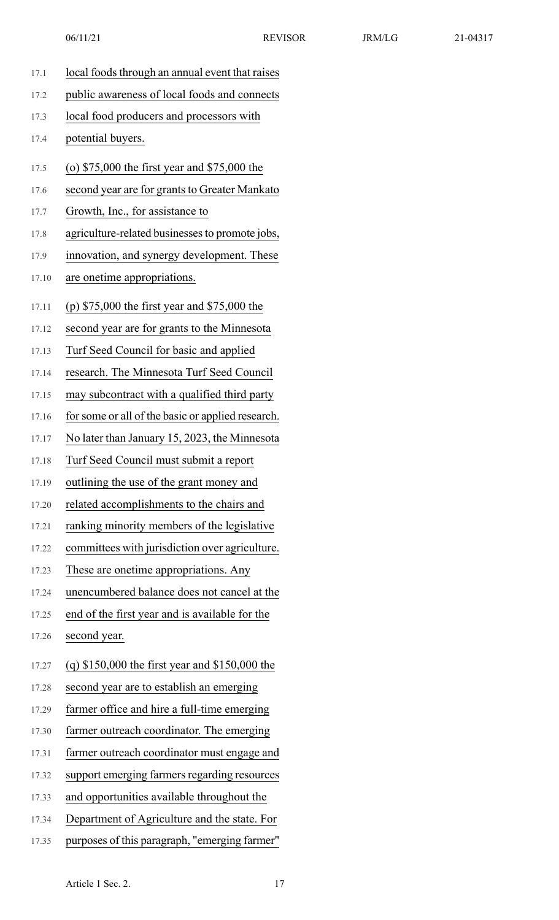| 17.1  | local foods through an annual event that raises   |
|-------|---------------------------------------------------|
| 17.2  | public awareness of local foods and connects      |
| 17.3  | local food producers and processors with          |
| 17.4  | potential buyers.                                 |
| 17.5  | (o) $$75,000$ the first year and $$75,000$ the    |
| 17.6  | second year are for grants to Greater Mankato     |
| 17.7  | Growth, Inc., for assistance to                   |
| 17.8  | agriculture-related businesses to promote jobs,   |
| 17.9  | innovation, and synergy development. These        |
| 17.10 | are onetime appropriations.                       |
| 17.11 | (p) $$75,000$ the first year and $$75,000$ the    |
| 17.12 | second year are for grants to the Minnesota       |
| 17.13 | Turf Seed Council for basic and applied           |
| 17.14 | research. The Minnesota Turf Seed Council         |
| 17.15 | may subcontract with a qualified third party      |
| 17.16 | for some or all of the basic or applied research. |
| 17.17 | No later than January 15, 2023, the Minnesota     |
| 17.18 | Turf Seed Council must submit a report            |
| 17.19 | outlining the use of the grant money and          |
| 17.20 | related accomplishments to the chairs and         |
| 17.21 | ranking minority members of the legislative       |
| 17.22 | committees with jurisdiction over agriculture.    |
| 17.23 | These are onetime appropriations. Any             |
| 17.24 | unencumbered balance does not cancel at the       |
| 17.25 | end of the first year and is available for the    |
| 17.26 | second year.                                      |
| 17.27 | (q) $$150,000$ the first year and $$150,000$ the  |
| 17.28 | second year are to establish an emerging          |
| 17.29 | farmer office and hire a full-time emerging       |
| 17.30 | farmer outreach coordinator. The emerging         |
| 17.31 | farmer outreach coordinator must engage and       |
| 17.32 | support emerging farmers regarding resources      |
| 17.33 | and opportunities available throughout the        |
| 17.34 | Department of Agriculture and the state. For      |
| 17.35 | purposes of this paragraph, "emerging farmer"     |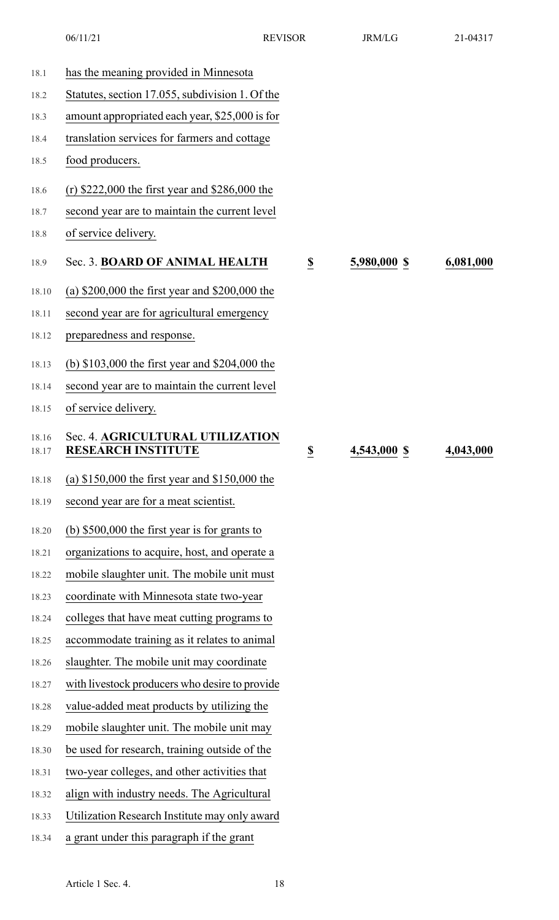|                | 06/11/21                                                      | <b>REVISOR</b>           | <b>JRM/LG</b> | 21-04317  |
|----------------|---------------------------------------------------------------|--------------------------|---------------|-----------|
| 18.1           | has the meaning provided in Minnesota                         |                          |               |           |
| 18.2           | Statutes, section 17.055, subdivision 1. Of the               |                          |               |           |
| 18.3           | amount appropriated each year, \$25,000 is for                |                          |               |           |
| 18.4           | translation services for farmers and cottage                  |                          |               |           |
| 18.5           | food producers.                                               |                          |               |           |
| 18.6           | (r) $$222,000$ the first year and $$286,000$ the              |                          |               |           |
| 18.7           | second year are to maintain the current level                 |                          |               |           |
| 18.8           | of service delivery.                                          |                          |               |           |
| 18.9           | Sec. 3. BOARD OF ANIMAL HEALTH                                | $\overline{\mathbf{S}}$  | 5,980,000 \$  | 6,081,000 |
| 18.10          | (a) $$200,000$ the first year and $$200,000$ the              |                          |               |           |
| 18.11          | second year are for agricultural emergency                    |                          |               |           |
| 18.12          | preparedness and response.                                    |                          |               |           |
| 18.13          | (b) \$103,000 the first year and \$204,000 the                |                          |               |           |
| 18.14          | second year are to maintain the current level                 |                          |               |           |
| 18.15          | of service delivery.                                          |                          |               |           |
| 18.16<br>18.17 | Sec. 4. AGRICULTURAL UTILIZATION<br><b>RESEARCH INSTITUTE</b> | $\underline{\mathbb{S}}$ | 4,543,000 \$  | 4,043,000 |
| 18.18          | (a) $$150,000$ the first year and $$150,000$ the              |                          |               |           |
| 18.19          | second year are for a meat scientist.                         |                          |               |           |
| 18.20          | (b) $$500,000$ the first year is for grants to                |                          |               |           |
| 18.21          | organizations to acquire, host, and operate a                 |                          |               |           |
| 18.22          | mobile slaughter unit. The mobile unit must                   |                          |               |           |
| 18.23          | coordinate with Minnesota state two-year                      |                          |               |           |
| 18.24          | colleges that have meat cutting programs to                   |                          |               |           |
| 18.25          | accommodate training as it relates to animal                  |                          |               |           |
| 18.26          | slaughter. The mobile unit may coordinate                     |                          |               |           |
| 18.27          | with livestock producers who desire to provide                |                          |               |           |
| 18.28          | value-added meat products by utilizing the                    |                          |               |           |
| 18.29          | mobile slaughter unit. The mobile unit may                    |                          |               |           |
| 18.30          | be used for research, training outside of the                 |                          |               |           |
| 18.31          | two-year colleges, and other activities that                  |                          |               |           |
| 18.32          | align with industry needs. The Agricultural                   |                          |               |           |
| 18.33          | Utilization Research Institute may only award                 |                          |               |           |
| 18.34          | a grant under this paragraph if the grant                     |                          |               |           |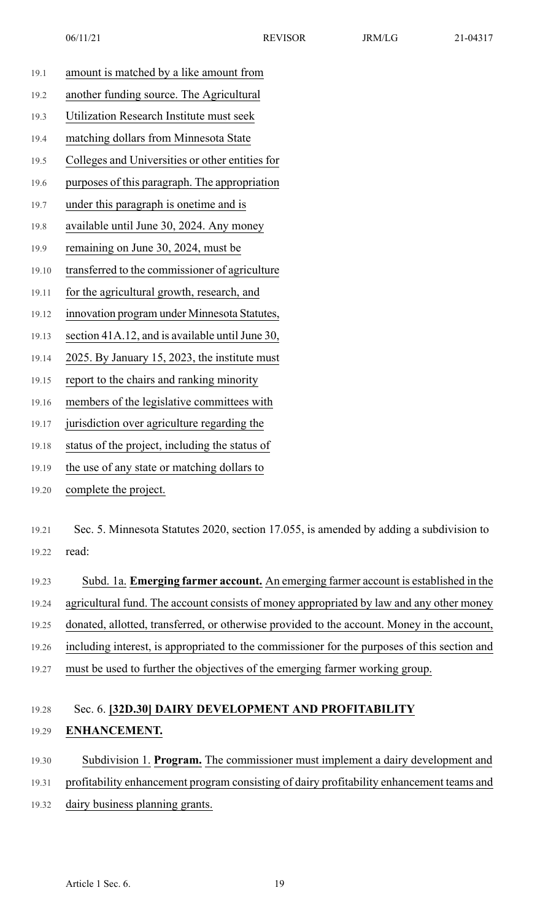| 19.1  | amount is matched by a like amount from                                                                                                                                                                                                             |
|-------|-----------------------------------------------------------------------------------------------------------------------------------------------------------------------------------------------------------------------------------------------------|
| 19.2  | another funding source. The Agricultural                                                                                                                                                                                                            |
| 19.3  | Utilization Research Institute must seek                                                                                                                                                                                                            |
| 19.4  | matching dollars from Minnesota State                                                                                                                                                                                                               |
| 19.5  | Colleges and Universities or other entities for                                                                                                                                                                                                     |
| 19.6  | purposes of this paragraph. The appropriation                                                                                                                                                                                                       |
| 19.7  | under this paragraph is onetime and is                                                                                                                                                                                                              |
| 19.8  | available until June 30, 2024. Any money                                                                                                                                                                                                            |
| 19.9  | remaining on June 30, 2024, must be                                                                                                                                                                                                                 |
| 19.10 | transferred to the commissioner of agriculture                                                                                                                                                                                                      |
| 19.11 | for the agricultural growth, research, and                                                                                                                                                                                                          |
| 19.12 | innovation program under Minnesota Statutes,                                                                                                                                                                                                        |
| 19.13 | section 41A.12, and is available until June 30,                                                                                                                                                                                                     |
| 19.14 | 2025. By January 15, 2023, the institute must                                                                                                                                                                                                       |
| 19.15 | report to the chairs and ranking minority                                                                                                                                                                                                           |
| 19.16 | members of the legislative committees with                                                                                                                                                                                                          |
|       | $\mathbf{r} = \mathbf{r} + \mathbf{r} + \mathbf{r}$ , and the contract of the contract of the contract of the contract of the contract of the contract of the contract of the contract of the contract of the contract of the contract of the contr |

19.17 jurisdiction over agriculture regarding the

19.18 status of the project, including the status of

19.19 the use of any state or matching dollars to

19.20 complete the project.

19.21 Sec. 5. Minnesota Statutes 2020, section 17.055, is amended by adding a subdivision to 19.22 read:

19.23 Subd. 1a. **Emerging farmer account.** An emerging farmer account is established in the 19.24 agricultural fund. The account consists of money appropriated by law and any other money 19.25 donated, allotted, transferred, or otherwise provided to the account. Money in the account, 19.26 including interest, is appropriated to the commissioner for the purposes of this section and 19.27 must be used to further the objectives of the emerging farmer working group.

## 19.28 Sec. 6. **[32D.30] DAIRY DEVELOPMENT AND PROFITABILITY** 19.29 **ENHANCEMENT.**

## 19.30 Subdivision 1. **Program.** The commissioner must implement a dairy development and 19.31 profitability enhancement program consisting of dairy profitability enhancement teams and 19.32 dairy business planning grants.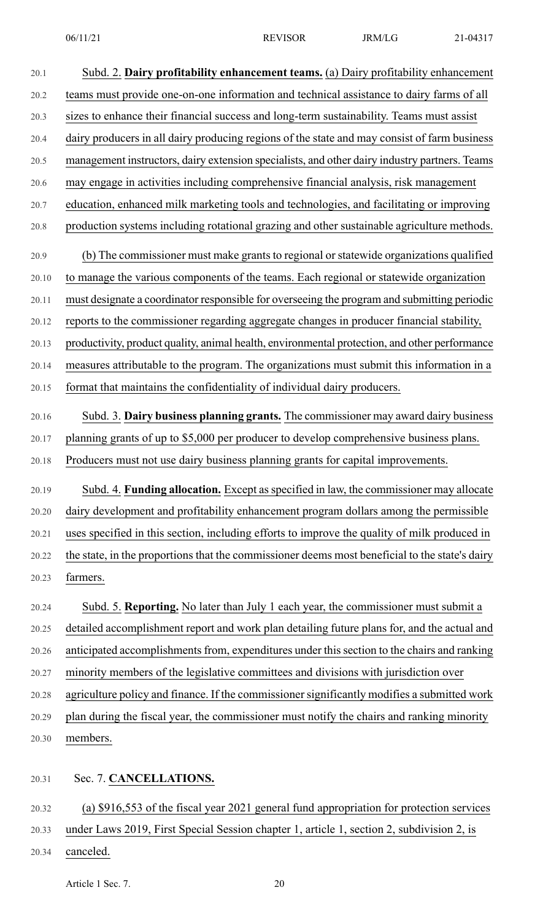20.1 Subd. 2. **Dairy profitability enhancement teams.** (a) Dairy profitability enhancement 20.2 teams must provide one-on-one information and technical assistance to dairy farms of all 20.3 sizes to enhance their financial success and long-term sustainability. Teams must assist 20.4 dairy producers in all dairy producing regions of the state and may consist of farm business 20.5 management instructors, dairy extension specialists, and other dairy industry partners. Teams 20.6 may engage in activities including comprehensive financial analysis, risk management 20.7 education, enhanced milk marketing tools and technologies, and facilitating or improving 20.8 production systems including rotational grazing and other sustainable agriculture methods. 20.9 (b) The commissioner must make grants to regional or statewide organizations qualified 20.10 to manage the various components of the teams. Each regional or statewide organization 20.11 must designate a coordinator responsible for overseeing the program and submitting periodic 20.12 reports to the commissioner regarding aggregate changes in producer financial stability, 20.13 productivity, product quality, animal health, environmental protection, and other performance 20.14 measures attributable to the program. The organizations must submit this information in a 20.15 format that maintains the confidentiality of individual dairy producers. 20.16 Subd. 3. **Dairy business planning grants.** The commissioner may award dairy business 20.17 planning grants of up to \$5,000 per producer to develop comprehensive business plans. 20.18 Producers must not use dairy business planning grants for capital improvements. 20.19 Subd. 4. **Funding allocation.** Except asspecified in law, the commissioner may allocate 20.20 dairy development and profitability enhancement program dollars among the permissible 20.21 uses specified in this section, including efforts to improve the quality of milk produced in 20.22 the state, in the proportions that the commissioner deems most beneficial to the state's dairy 20.23 farmers. 20.24 Subd. 5. **Reporting.** No later than July 1 each year, the commissioner must submit a 20.25 detailed accomplishment report and work plan detailing future plans for, and the actual and 20.26 anticipated accomplishments from, expenditures under this section to the chairs and ranking 20.27 minority members of the legislative committees and divisions with jurisdiction over 20.28 agriculture policy and finance. If the commissionersignificantly modifies a submitted work 20.29 plan during the fiscal year, the commissioner must notify the chairs and ranking minority 20.30 members. 20.31 Sec. 7. **CANCELLATIONS.**

20.32 (a) \$916,553 of the fiscal year 2021 general fund appropriation for protection services

- 20.33 under Laws 2019, First Special Session chapter 1, article 1, section 2, subdivision 2, is
- 20.34 canceled.